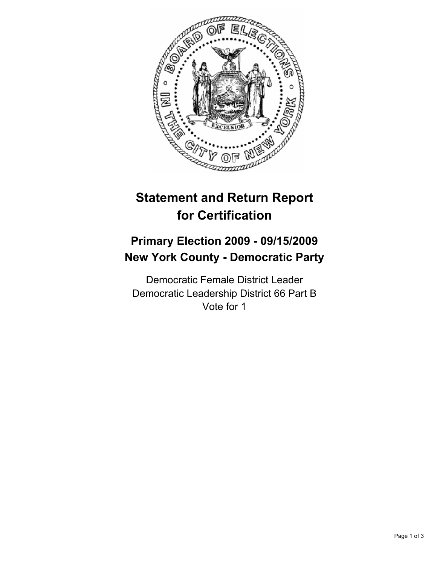

# **Statement and Return Report for Certification**

## **Primary Election 2009 - 09/15/2009 New York County - Democratic Party**

Democratic Female District Leader Democratic Leadership District 66 Part B Vote for 1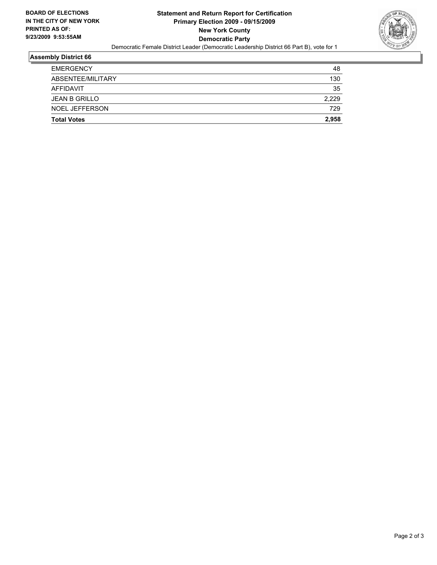

#### **Assembly District 66**

| <b>Total Votes</b>    |       |
|-----------------------|-------|
| <b>NOEL JEFFERSON</b> | 729   |
| <b>JEAN B GRILLO</b>  | 2.229 |
| AFFIDAVIT             | 35    |
| ABSENTEE/MILITARY     | 130   |
| <b>EMERGENCY</b>      | 48    |